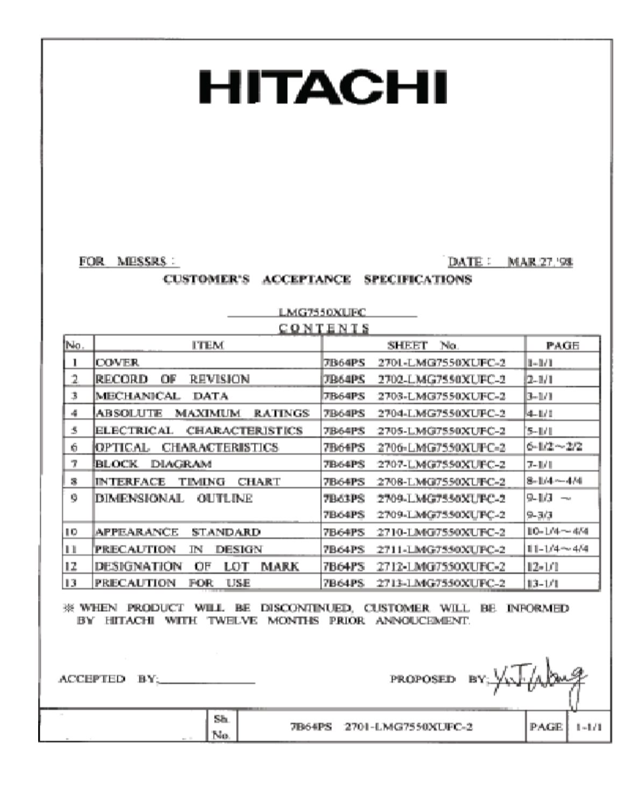# **HITACHI**

FOR MESSRS:

DATE: MAR.27.'98

#### CUSTOMER'S ACCEPTANCE SPECIFICATIONS

|     | <b>LMG7550XUEC</b>                          |                                      |             |  |  |  |  |  |  |  |  |
|-----|---------------------------------------------|--------------------------------------|-------------|--|--|--|--|--|--|--|--|
|     | CONTENTS                                    |                                      |             |  |  |  |  |  |  |  |  |
| No. | <b>ITEM</b>                                 | No.<br><b>SHEET</b>                  | PAGE        |  |  |  |  |  |  |  |  |
| L   | <b>ICOVER</b>                               | 7B64PS<br>2701-LMG7550XUFC-2         | 11-171      |  |  |  |  |  |  |  |  |
| 2   | OE<br><b>REVISION</b><br><b>RECORD</b>      | 2702-LMG7550XUFC-2<br>[7B64PS        | 12-1/1      |  |  |  |  |  |  |  |  |
| 3   | MECHANICAL<br><b>DATA</b>                   | <b>FIB64PS</b><br>2703-LMG7550XUFC-2 | B-1/1       |  |  |  |  |  |  |  |  |
| 4   | <b>RATINGS</b><br>ABSOLUTE<br>MAXIMUM       | 2704-LMG7550XUPC-2<br><b>7B64PS</b>  | 14-U I      |  |  |  |  |  |  |  |  |
| 5   | <b>ELECTRICAL</b><br><b>CHARACTERISTICS</b> | <b>7B64PS</b><br>2705-LMG7550XUFC-2  | IS-171      |  |  |  |  |  |  |  |  |
| 6.  | <b>IOPTIGAL</b><br><b>CHARACTERISTICS</b>   | 7864PS<br>2706-LMG7550XUFC-2         | 6-1/2~-2/2  |  |  |  |  |  |  |  |  |
| 7   | <b>BLOCK</b><br>DIAGRAM                     | 7B64PS<br>2707-LMG7550XUFC-2         | 7-UU        |  |  |  |  |  |  |  |  |
| 靏   | <b>CHART</b><br><b>INTERFACE</b><br>TIMING  | 2708-LMG7550XLFC-2<br><b>7B64PS</b>  | 8-1/4~4/4   |  |  |  |  |  |  |  |  |
| 9   | DIMENSIONAL<br>OUTLINE                      | 2709-LMG7550XUPC-2<br><b>7B63PS</b>  | 9-1/3       |  |  |  |  |  |  |  |  |
|     |                                             | <b>7B64PS</b><br>2709-LMG7550XUFC-2  | 9-3/3       |  |  |  |  |  |  |  |  |
| 19. | <b>APPEARANCE</b><br><b>STANDARD</b>        | 7B64PS<br>2710-LMG7550XUFC-2         | 10-1/4~4/4  |  |  |  |  |  |  |  |  |
| 11  | PRECAUTION<br>IN<br>DESIGN                  | 2711-LMG7550XUPC-2<br><b>7B64PS</b>  | 11-1/4-~4/4 |  |  |  |  |  |  |  |  |
| 12  | DESIGNATION<br>OF<br><b>MARK</b><br>LOT     | 7B64PS<br>2712-LMG7550XUFC-2         | $12 - 1/1$  |  |  |  |  |  |  |  |  |
| 13  | <b>PRECAUTION</b><br>USE<br>FOR.            | <b>7B64PS</b><br>2713-LMG7550XUPC-2  | $13 - 1/1$  |  |  |  |  |  |  |  |  |

38 WHEN PRODUCT WILL BE DISCONTINUED, CUSTOMER WILL BE INFORMED BY HITACHI WITH TWELVE MONTHS PRIOR ANNOUCEMENT.

| ACCEPTED BY: |            | . | PROPOSED $BY_{11}^{\ldots k}$        |                     |
|--------------|------------|---|--------------------------------------|---------------------|
|              | Sh<br>No., |   | 7B64PS 2701-LMG7550XUFC-2<br>_______ | <b>PAGE</b>   1-1/1 |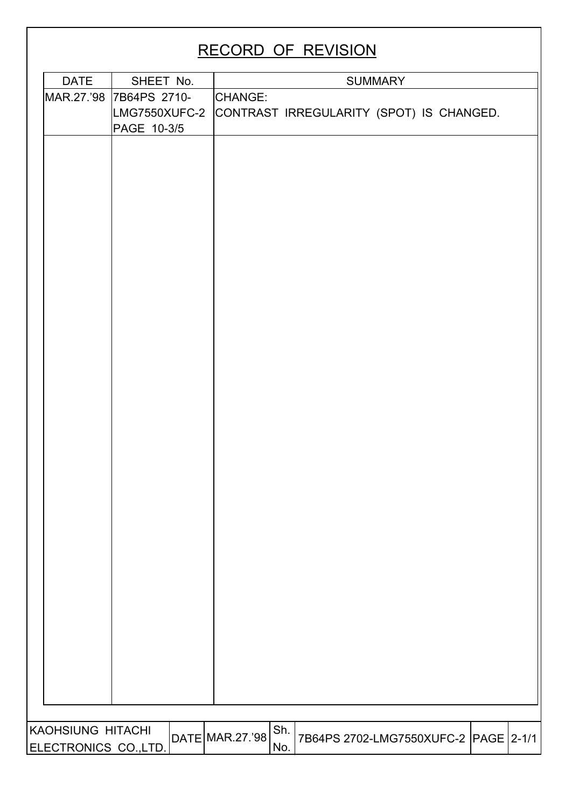# RECORD OF REVISION

| <b>DATE</b>          | SHEET No.                                    |                 |     |                                          | <b>SUMMARY</b> |  |  |
|----------------------|----------------------------------------------|-----------------|-----|------------------------------------------|----------------|--|--|
| MAR.27.'98           | 7B64PS 2710-<br>LMG7550XUFC-2<br>PAGE 10-3/5 | CHANGE:         |     | CONTRAST IRREGULARITY (SPOT) IS CHANGED. |                |  |  |
|                      |                                              |                 |     |                                          |                |  |  |
|                      |                                              |                 |     |                                          |                |  |  |
|                      |                                              |                 |     |                                          |                |  |  |
|                      |                                              |                 |     |                                          |                |  |  |
|                      |                                              |                 |     |                                          |                |  |  |
|                      |                                              |                 |     |                                          |                |  |  |
|                      |                                              |                 |     |                                          |                |  |  |
|                      |                                              |                 |     |                                          |                |  |  |
|                      |                                              |                 |     |                                          |                |  |  |
|                      |                                              |                 |     |                                          |                |  |  |
|                      |                                              |                 |     |                                          |                |  |  |
|                      |                                              |                 |     |                                          |                |  |  |
|                      |                                              |                 |     |                                          |                |  |  |
|                      |                                              |                 |     |                                          |                |  |  |
| KAOHSIUNG HITACHI    |                                              |                 | Sh. |                                          |                |  |  |
| ELECTRONICS CO.,LTD. |                                              | DATE MAR.27.'98 | No. | 7B64PS 2702-LMG7550XUFC-2 PAGE 2-1/1     |                |  |  |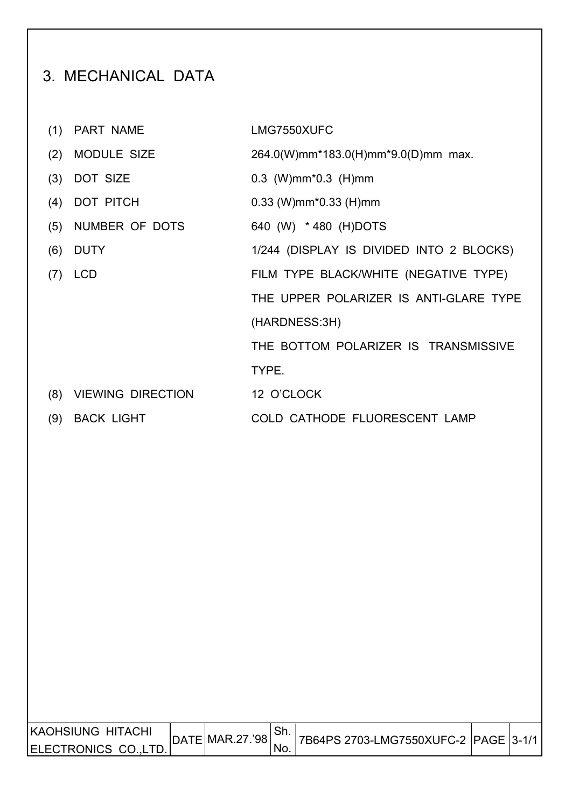# 3. MECHANICAL DATA

(1) PART NAME LMG7550XUFC (2) MODULE SIZE 264.0(W)mm\*183.0(H)mm\*9.0(D)mm max. (3) DOT SIZE 0.3 (W)mm\*0.3 (H)mm (4) DOT PITCH 0.33 (W)mm\*0.33 (H)mm (5) NUMBER OF DOTS 640 (W) \* 480 (H)DOTS (6) DUTY 1/244 (DISPLAY IS DIVIDED INTO 2 BLOCKS) (7) LCD FILM TYPE BLACK/WHITE (NEGATIVE TYPE) THE UPPER POLARIZER IS ANTI-GLARE TYPE (HARDNESS:3H) THE BOTTOM POLARIZER IS TRANSMISSIVE TYPE. (8) VIEWING DIRECTION 12 O'CLOCK (9) BACK LIGHT COLD CATHODE FLUORESCENT LAMP

| KAOHSIUNG HITACHI    | DATE   MAR.27.'98 | 17B64PS 2703-LMG7550XUFC-2   PAGE 3-1/1 |  |
|----------------------|-------------------|-----------------------------------------|--|
| ELECTRONICS CO.,LTD. |                   |                                         |  |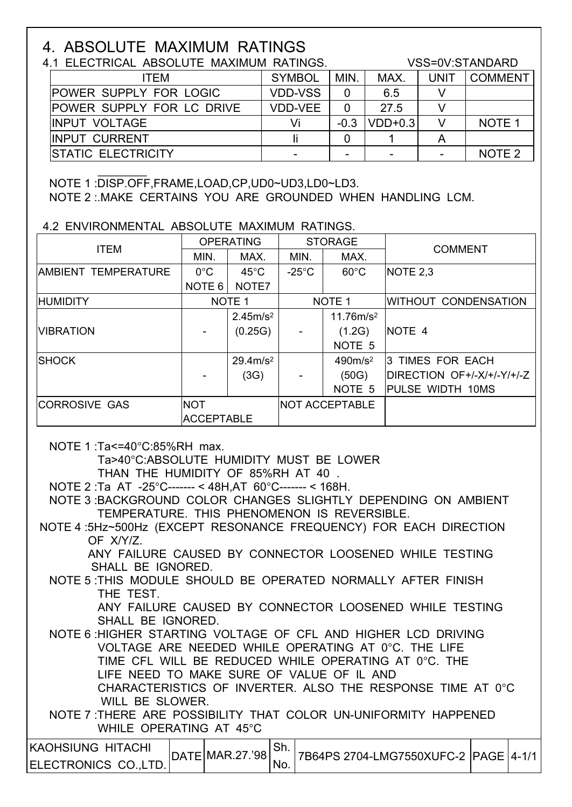# 4. ABSOLUTE MAXIMUM RATINGS

# 4.1 ELECTRICAL ABSOLUTE MAXIMUM RATINGS. VSS=0V:STANDARD

| ITEM                             | <b>SYMBOL</b>  | MIN.   | MAX.      | <b>UNIT</b>              | <b>COMMENT</b>    |
|----------------------------------|----------------|--------|-----------|--------------------------|-------------------|
| <b>POWER SUPPLY FOR LOGIC</b>    | <b>VDD-VSS</b> | 0      | 6.5       |                          |                   |
| <b>POWER SUPPLY FOR LC DRIVE</b> | <b>VDD-VEE</b> | 0      | 27.5      |                          |                   |
| <b>IINPUT VOLTAGE</b>            | Vi             | $-0.3$ | $VDD+0.3$ |                          | NOTE <sub>1</sub> |
| <b>IINPUT CURRENT</b>            |                |        |           |                          |                   |
| <b>ISTATIC ELECTRICITY</b>       |                |        |           | $\overline{\phantom{a}}$ | NOTE <sub>2</sub> |

#### NOTE 1 :DISP.OFF,FRAME,LOAD,CP,UD0~UD3,LD0~LD3. NOTE 2 :.MAKE CERTAINS YOU ARE GROUNDED WHEN HANDLING LCM.

# 4.2 ENVIRONMENTAL ABSOLUTE MAXIMUM RATINGS.

| <b>ITEM</b>                |                   | <b>OPERATING</b>     |                 | <b>STORAGE</b>        |                            |  |
|----------------------------|-------------------|----------------------|-----------------|-----------------------|----------------------------|--|
|                            | MIN.              | MAX.                 | MIN.            | MAX.                  | <b>COMMENT</b>             |  |
| <b>AMBIENT TEMPERATURE</b> | $0^{\circ}$ C     | $45^{\circ}$ C       | $-25^{\circ}$ C | $60^{\circ}$ C        | NOTE 2.3                   |  |
|                            | NOTE <sub>6</sub> | NOTE7                |                 |                       |                            |  |
| <b>HUMIDITY</b>            |                   | NOTE <sub>1</sub>    |                 | NOTE <sub>1</sub>     | WITHOUT CONDENSATION       |  |
|                            |                   | 2.45m/s <sup>2</sup> |                 | 11.76m/s <sup>2</sup> |                            |  |
| <b>VIBRATION</b>           |                   | (0.25G)              |                 | (1.2G)                | NOTE 4                     |  |
|                            |                   |                      |                 | NOTE <sub>5</sub>     |                            |  |
| <b>SHOCK</b>               |                   | $29.4 \text{m/s}^2$  |                 | 490m/s <sup>2</sup>   | 13 TIMES FOR EACH          |  |
|                            |                   | (3G)                 |                 | (50G)                 | DIRECTION OF+/-X/+/-Y/+/-Z |  |
|                            |                   |                      |                 | NOTE <sub>5</sub>     | PULSE WIDTH 10MS           |  |
| <b>CORROSIVE GAS</b>       | <b>NOT</b>        |                      |                 | <b>NOT ACCEPTABLE</b> |                            |  |
|                            | <b>ACCEPTABLE</b> |                      |                 |                       |                            |  |

NOTE 1 :Ta<=40°C:85%RH max.

Ta>40°C:ABSOLUTE HUMIDITY MUST BE LOWER

THAN THE HUMIDITY OF 85%RH AT 40 .

NOTE 2 :Ta AT -25°C------- < 48H,AT 60°C------- < 168H.

 NOTE 3 :BACKGROUND COLOR CHANGES SLIGHTLY DEPENDING ON AMBIENT TEMPERATURE. THIS PHENOMENON IS REVERSIBLE.

 NOTE 4 :5Hz~500Hz (EXCEPT RESONANCE FREQUENCY) FOR EACH DIRECTION OF X/Y/Z.

 ANY FAILURE CAUSED BY CONNECTOR LOOSENED WHILE TESTING SHALL BE IGNORED.

 NOTE 5 :THIS MODULE SHOULD BE OPERATED NORMALLY AFTER FINISH THE TEST.

 ANY FAILURE CAUSED BY CONNECTOR LOOSENED WHILE TESTING SHALL BE IGNORED.

 NOTE 6 :HIGHER STARTING VOLTAGE OF CFL AND HIGHER LCD DRIVING VOLTAGE ARE NEEDED WHILE OPERATING AT 0°C. THE LIFE TIME CFL WILL BE REDUCED WHILE OPERATING AT 0°C. THE LIFE NEED TO MAKE SURE OF VALUE OF IL AND CHARACTERISTICS OF INVERTER. ALSO THE RESPONSE TIME AT 0°C WILL BE SLOWER.

 NOTE 7 :THERE ARE POSSIBILITY THAT COLOR UN-UNIFORMITY HAPPENED WHILE OPERATING AT 45°C

| IKAOHSIUNG HITACHI  | DATE MAR.27.'98 | <sup>∣</sup> Sh. | 7B64PS 2704-LMG7550XUFC-2 PAGE 4-1/1 |  |
|---------------------|-----------------|------------------|--------------------------------------|--|
| IELECTRONICS COLTD. |                 | ±No.             |                                      |  |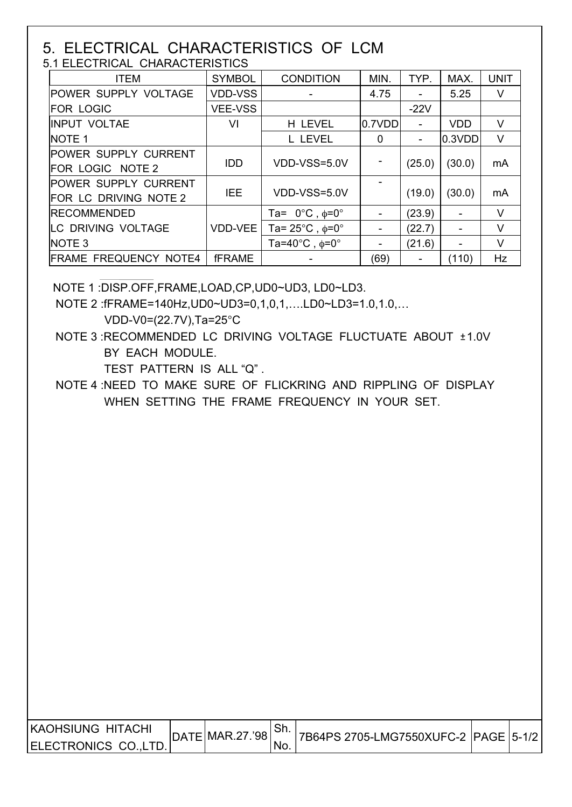#### 5. ELECTRICAL CHARACTERISTICS OF LCM 5.1 ELECTRICAL CHARACTERISTICS

| <b>ITEM</b>                                          | <b>SYMBOL</b>  | <b>CONDITION</b>                         | MIN.                         | TYP.   | MAX.       | <b>UNIT</b> |  |  |  |
|------------------------------------------------------|----------------|------------------------------------------|------------------------------|--------|------------|-------------|--|--|--|
| <b>POWER SUPPLY VOLTAGE</b>                          | <b>VDD-VSS</b> |                                          | 4.75                         |        | 5.25       | V           |  |  |  |
| <b>FOR LOGIC</b>                                     | <b>VEE-VSS</b> |                                          |                              | $-22V$ |            |             |  |  |  |
| <b>IINPUT VOLTAE</b>                                 | VI             | H LEVEL                                  | 0.7VDD                       |        | <b>VDD</b> | V           |  |  |  |
| NOTE <sub>1</sub>                                    |                | L LEVEL                                  | $\mathbf 0$                  |        | 0.3VDD     | $\vee$      |  |  |  |
| POWER SUPPLY CURRENT<br>FOR LOGIC NOTE 2             | <b>IDD</b>     | VDD-VSS=5.0V                             | -                            | (25.0) | (30.0)     | mA          |  |  |  |
| <b>POWER SUPPLY CURRENT</b><br>FOR LC DRIVING NOTE 2 | IEE.           | VDD-VSS=5.0V                             |                              | (19.0) | (30.0)     | mA          |  |  |  |
| <b>IRECOMMENDED</b>                                  |                | Ta= $0^{\circ}$ C, $\phi$ = $0^{\circ}$  | $\overline{\phantom{a}}$     | (23.9) |            | V           |  |  |  |
| <b>LC DRIVING VOLTAGE</b>                            | VDD-VEE        | Ta= $25^{\circ}$ C, $\phi = 0^{\circ}$   | $\overline{\phantom{a}}$     | (22.7) |            | V           |  |  |  |
| NOTE <sub>3</sub>                                    |                | Ta=40 $^{\circ}$ C, $\phi$ =0 $^{\circ}$ | $\qquad \qquad \blacksquare$ | (21.6) |            | V           |  |  |  |
| <b>FRAME FREQUENCY NOTE4</b>                         | <b>fFRAME</b>  |                                          | (69)                         |        | (110)      | Hz          |  |  |  |

NOTE 1 :DISP.OFF,FRAME,LOAD,CP,UD0~UD3, LD0~LD3.

NOTE 2 :fFRAME=140Hz,UD0~UD3=0,1,0,1,….LD0~LD3=1.0,1.0,…

VDD-V0=(22.7V),Ta=25°C

 NOTE 3 :RECOMMENDED LC DRIVING VOLTAGE FLUCTUATE ABOUT ±1.0V BY EACH MODULE.

TEST PATTERN IS ALL "Q" .

 NOTE 4 :NEED TO MAKE SURE OF FLICKRING AND RIPPLING OF DISPLAY WHEN SETTING THE FRAME FREQUENCY IN YOUR SET.

| IKAOHSIUNG HITACHI   | $ $ DATE $ $ MAR.27.'98 $ $ | <sup>∣</sup> Sh. |                                      |  |
|----------------------|-----------------------------|------------------|--------------------------------------|--|
| ELECTRONICS CO.,LTD. |                             | No.              | 7B64PS 2705-LMG7550XUFC-2 PAGE 5-1/2 |  |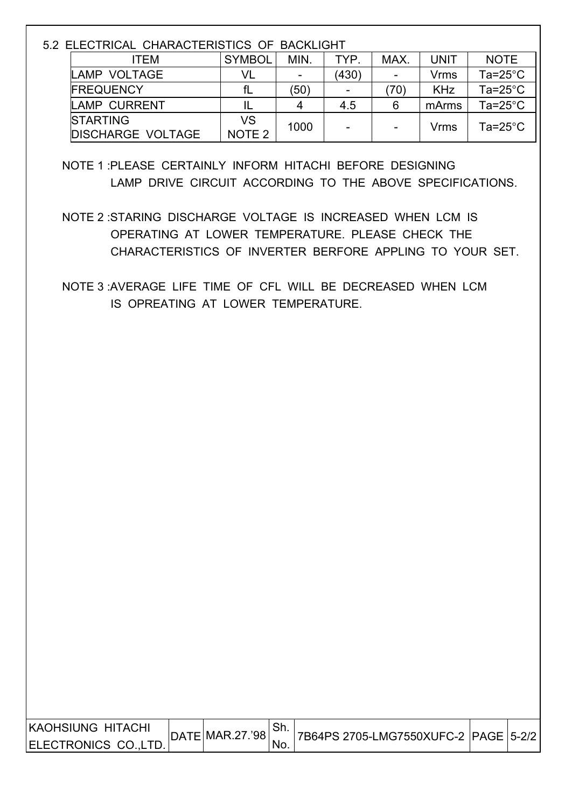| 5.2 ELECTRICAL CHARACTERISTICS OF BACKLIGHT |                          |                   |      |       |      |             |                    |  |  |
|---------------------------------------------|--------------------------|-------------------|------|-------|------|-------------|--------------------|--|--|
|                                             | <b>ITEM</b>              | <b>SYMBOL</b>     | MIN. | TYP.  | MAX. | <b>UNIT</b> | <b>NOTE</b>        |  |  |
|                                             | LAMP VOLTAGE             | VL                |      | (430) |      | Vrms        | Ta=25 $^{\circ}$ C |  |  |
|                                             | <b>FREQUENCY</b>         | fL                | (50) |       | (70) | <b>KHz</b>  | Ta=25 $^{\circ}$ C |  |  |
|                                             | <b>LAMP CURRENT</b>      |                   | 4    | 4.5   | 6    | mArms       | Ta=25 $^{\circ}$ C |  |  |
|                                             | <b>STARTING</b>          | VS                | 1000 |       |      | Vrms        | Ta=25 $^{\circ}$ C |  |  |
|                                             | <b>DISCHARGE VOLTAGE</b> | NOTE <sub>2</sub> |      |       |      |             |                    |  |  |

 NOTE 1 :PLEASE CERTAINLY INFORM HITACHI BEFORE DESIGNING LAMP DRIVE CIRCUIT ACCORDING TO THE ABOVE SPECIFICATIONS.

 NOTE 2 :STARING DISCHARGE VOLTAGE IS INCREASED WHEN LCM IS OPERATING AT LOWER TEMPERATURE. PLEASE CHECK THE CHARACTERISTICS OF INVERTER BERFORE APPLING TO YOUR SET.

 NOTE 3 :AVERAGE LIFE TIME OF CFL WILL BE DECREASED WHEN LCM IS OPREATING AT LOWER TEMPERATURE.

| <b>IKAOHSIUNG HITACHI</b>     |                 |      |                                         |  |
|-------------------------------|-----------------|------|-----------------------------------------|--|
|                               | DATE MAR.27.'98 |      | 7B64PS 2705-LMG7550XUFC-2  PAGE   5-2/2 |  |
|                               |                 |      |                                         |  |
| <b>IELECTRONICS CO.L</b><br>ா |                 | 'NO. |                                         |  |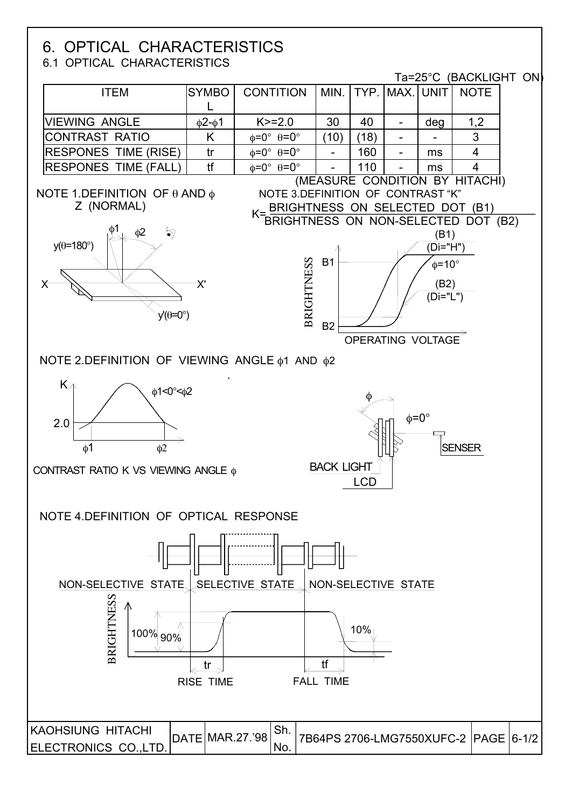# **6. OPTICAL CHARACTERISTICS**<br>6.1 OPTICAL CHARACTERISTICS

Ta=25°C (BACKLIGHT ON)

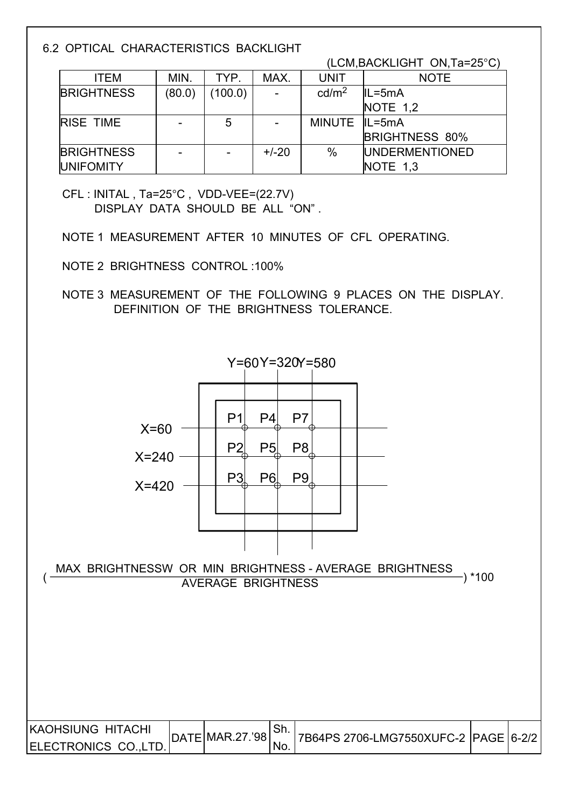6.2 OPTICAL CHARACTERISTICS BACKLIGHT

 $(LCM$ , BACKLIGHT ON, Ta=25 $^{\circ}$ C)

| <b>ITEM</b>       | MIN.   | TYP.    | MAX.                     | <b>UNIT</b>       | <b>NOTE</b>           |
|-------------------|--------|---------|--------------------------|-------------------|-----------------------|
| <b>BRIGHTNESS</b> | (80.0) | (100.0) | $\overline{\phantom{a}}$ | cd/m <sup>2</sup> | $IL = 5mA$            |
|                   |        |         |                          |                   | NOTE $1,2$            |
| <b>RISE TIME</b>  |        | 5       | $\qquad \qquad$          | MINUTE IL=5mA     |                       |
|                   |        |         |                          |                   | <b>BRIGHTNESS 80%</b> |
| <b>BRIGHTNESS</b> |        |         | $+/-20$                  | $\%$              | <b>UNDERMENTIONED</b> |
| <b>UNIFOMITY</b>  |        |         |                          |                   | NOTE $1,3$            |

 CFL : INITAL , Ta=25°C , VDD-VEE=(22.7V) DISPLAY DATA SHOULD BE ALL "ON" .

NOTE 1 MEASUREMENT AFTER 10 MINUTES OF CFL OPERATING.

NOTE 2 BRIGHTNESS CONTROL :100%

 NOTE 3 MEASUREMENT OF THE FOLLOWING 9 PLACES ON THE DISPLAY. DEFINITION OF THE BRIGHTNESS TOLERANCE.

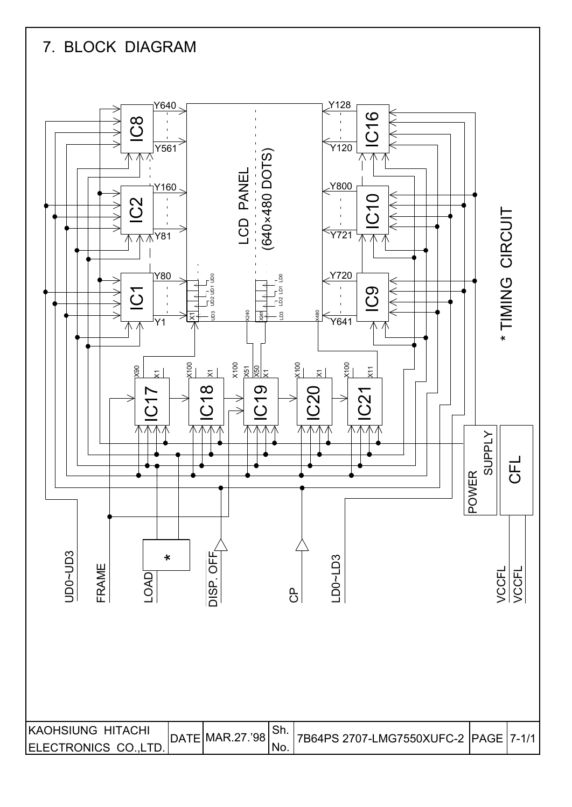# 7. BLOCK DIAGRAM

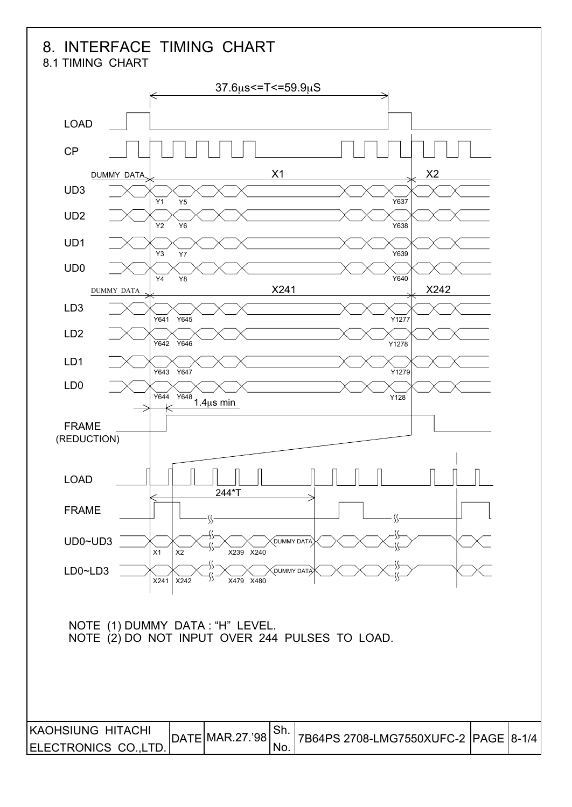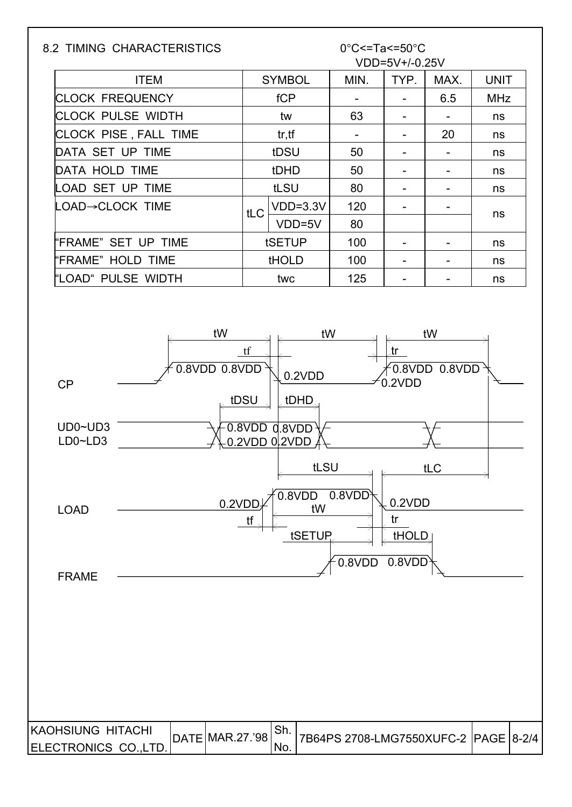| <b>SYMBOL</b><br>MIN.<br><b>ITEM</b><br><b>CLOCK FREQUENCY</b><br>fCP<br><b>CLOCK PULSE WIDTH</b><br>63<br>tw<br>CLOCK PISE, FALL TIME<br>tr, tf<br>$\overline{\phantom{0}}$<br>DATA SET UP TIME<br>tDSU<br>50<br>DATA HOLD TIME<br>tDHD<br>50<br>tLSU<br>LOAD SET UP TIME<br>80<br>$VDD=3.3V$<br>LOAD→CLOCK TIME<br>120<br>tLC<br>VDD=5V<br>80<br>tSETUP<br>'FRAME" SET UP TIME<br>100<br>"FRAME" HOLD TIME<br><b>tHOLD</b><br>100<br>"LOAD" PULSE WIDTH<br>125<br>twc<br>tW<br>tW<br>tf<br>0.8VDD 0.8VDD<br>0.2VDD<br><b>CP</b><br>tDSU<br>tDHD<br>$UD0\nightharpoonup UD3$<br>$0.8$ VDD $0.8$ VDD $^{1}$<br>LD0~LD3<br>0.2VDD 0.2VDD | VDD=5V+/-0.25V<br>TYP.<br>$\qquad \qquad -$<br>$\blacksquare$<br>$\qquad \qquad \blacksquare$<br>$\overline{\phantom{a}}$<br>$\overline{\phantom{a}}$<br>-<br>$\qquad \qquad -$<br>$\blacksquare$<br>$\qquad \qquad \blacksquare$<br>tr,<br>0.2VDD | MAX.<br>6.5<br>$\blacksquare$<br>20<br>$\overline{\phantom{0}}$<br>$\overline{\phantom{0}}$<br>$\overline{\phantom{a}}$<br>$\qquad \qquad \blacksquare$<br>$\overline{\phantom{a}}$<br>$\blacksquare$<br>tW<br>0.8VDD 0.8VDD | <b>UNIT</b><br><b>MHz</b><br>ns<br>ns<br>ns<br>ns<br>ns<br>ns<br>ns<br>ns<br>ns |
|-----------------------------------------------------------------------------------------------------------------------------------------------------------------------------------------------------------------------------------------------------------------------------------------------------------------------------------------------------------------------------------------------------------------------------------------------------------------------------------------------------------------------------------------------------------------------------------------------------------------------------------------|----------------------------------------------------------------------------------------------------------------------------------------------------------------------------------------------------------------------------------------------------|------------------------------------------------------------------------------------------------------------------------------------------------------------------------------------------------------------------------------|---------------------------------------------------------------------------------|
|                                                                                                                                                                                                                                                                                                                                                                                                                                                                                                                                                                                                                                         |                                                                                                                                                                                                                                                    |                                                                                                                                                                                                                              |                                                                                 |
|                                                                                                                                                                                                                                                                                                                                                                                                                                                                                                                                                                                                                                         |                                                                                                                                                                                                                                                    |                                                                                                                                                                                                                              |                                                                                 |
|                                                                                                                                                                                                                                                                                                                                                                                                                                                                                                                                                                                                                                         |                                                                                                                                                                                                                                                    |                                                                                                                                                                                                                              |                                                                                 |
|                                                                                                                                                                                                                                                                                                                                                                                                                                                                                                                                                                                                                                         |                                                                                                                                                                                                                                                    |                                                                                                                                                                                                                              |                                                                                 |
|                                                                                                                                                                                                                                                                                                                                                                                                                                                                                                                                                                                                                                         |                                                                                                                                                                                                                                                    |                                                                                                                                                                                                                              |                                                                                 |
|                                                                                                                                                                                                                                                                                                                                                                                                                                                                                                                                                                                                                                         |                                                                                                                                                                                                                                                    |                                                                                                                                                                                                                              |                                                                                 |
|                                                                                                                                                                                                                                                                                                                                                                                                                                                                                                                                                                                                                                         |                                                                                                                                                                                                                                                    |                                                                                                                                                                                                                              |                                                                                 |
|                                                                                                                                                                                                                                                                                                                                                                                                                                                                                                                                                                                                                                         |                                                                                                                                                                                                                                                    |                                                                                                                                                                                                                              |                                                                                 |
|                                                                                                                                                                                                                                                                                                                                                                                                                                                                                                                                                                                                                                         |                                                                                                                                                                                                                                                    |                                                                                                                                                                                                                              |                                                                                 |
|                                                                                                                                                                                                                                                                                                                                                                                                                                                                                                                                                                                                                                         |                                                                                                                                                                                                                                                    |                                                                                                                                                                                                                              |                                                                                 |
|                                                                                                                                                                                                                                                                                                                                                                                                                                                                                                                                                                                                                                         |                                                                                                                                                                                                                                                    |                                                                                                                                                                                                                              |                                                                                 |
|                                                                                                                                                                                                                                                                                                                                                                                                                                                                                                                                                                                                                                         |                                                                                                                                                                                                                                                    |                                                                                                                                                                                                                              |                                                                                 |
| tLSU                                                                                                                                                                                                                                                                                                                                                                                                                                                                                                                                                                                                                                    |                                                                                                                                                                                                                                                    | tLC                                                                                                                                                                                                                          |                                                                                 |
| 0.8VDD<br>0.8VDD<br>0.2VDD<br>tW<br><b>LOAD</b><br>tf<br>tSETUP                                                                                                                                                                                                                                                                                                                                                                                                                                                                                                                                                                         | 0.2VDD<br>tr<br>thold                                                                                                                                                                                                                              |                                                                                                                                                                                                                              |                                                                                 |
| 0.8VDD<br><b>FRAME</b>                                                                                                                                                                                                                                                                                                                                                                                                                                                                                                                                                                                                                  | 0.8VDD                                                                                                                                                                                                                                             |                                                                                                                                                                                                                              |                                                                                 |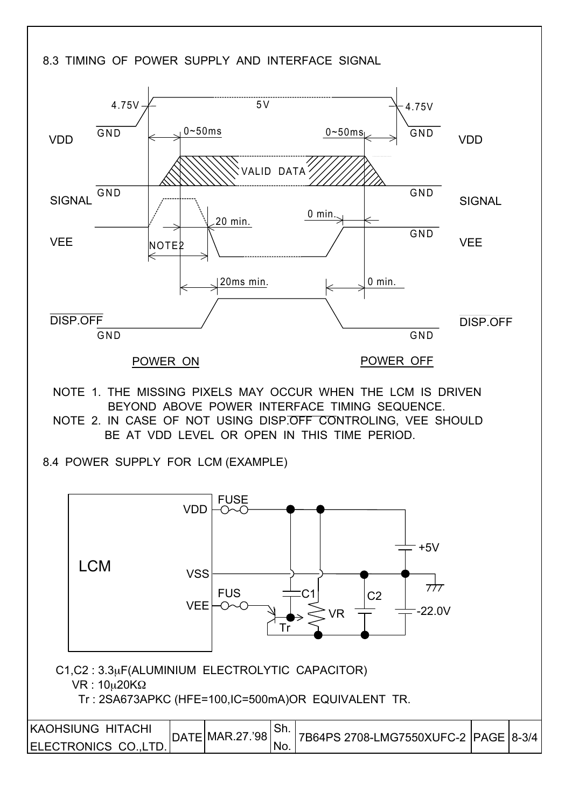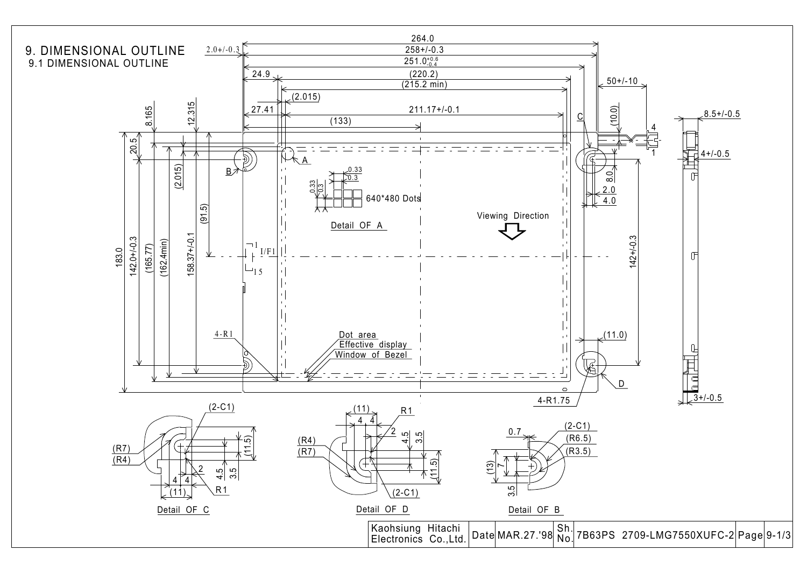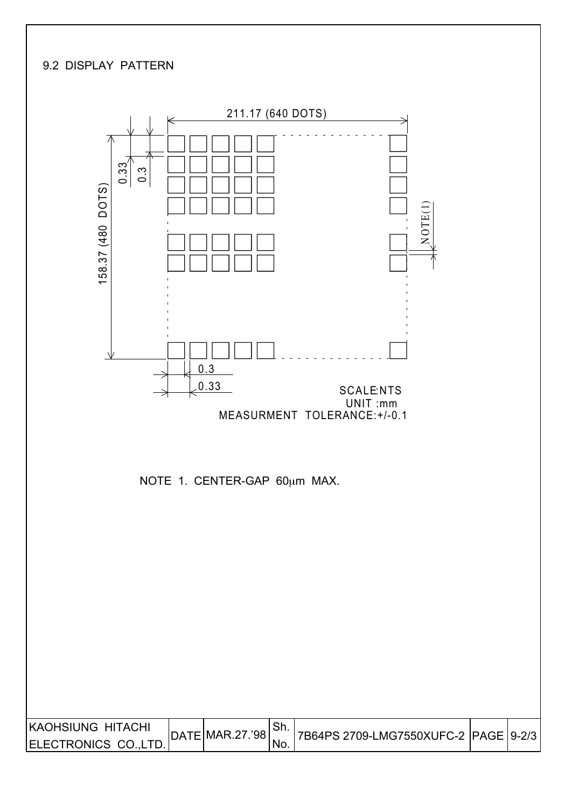#### 9.2 DISPLAY PATTERN

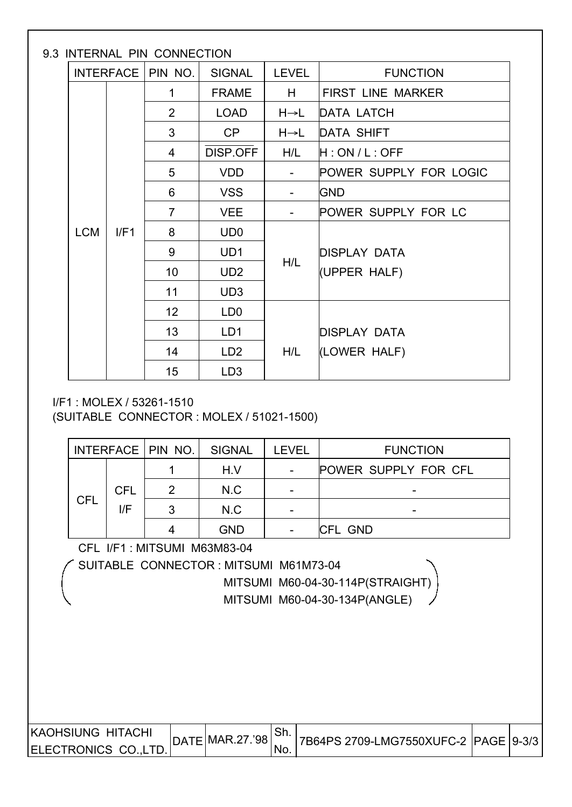# 9.3 INTERNAL PIN CONNECTION

|  |                    | INTENNAE FIIN CONNECTION |                 |              |                        |  |  |
|--|--------------------|--------------------------|-----------------|--------------|------------------------|--|--|
|  |                    | INTERFACE   PIN NO.      | <b>SIGNAL</b>   | <b>LEVEL</b> | <b>FUNCTION</b>        |  |  |
|  |                    | 1                        | <b>FRAME</b>    | H.           | FIRST LINE MARKER      |  |  |
|  |                    | 2                        | <b>LOAD</b>     | H→L          | <b>DATA LATCH</b>      |  |  |
|  |                    | 3                        | CP              | H→L          | DATA SHIFT             |  |  |
|  |                    | 4                        | DISP.OFF        | H/L          | H:ON/L:OFF             |  |  |
|  |                    | 5                        | <b>VDD</b>      |              | POWER SUPPLY FOR LOGIC |  |  |
|  |                    | 6                        | <b>VSS</b>      |              | <b>GND</b>             |  |  |
|  | <b>LCM</b><br>I/F1 | $\overline{7}$           | <b>VEE</b>      |              | POWER SUPPLY FOR LC    |  |  |
|  |                    | 8                        | UD <sub>0</sub> |              |                        |  |  |
|  |                    | 9                        | UD <sub>1</sub> |              | <b>DISPLAY DATA</b>    |  |  |
|  |                    | 10                       | UD <sub>2</sub> | H/L          | (UPPER HALF)           |  |  |
|  |                    | 11                       | UD <sub>3</sub> |              |                        |  |  |
|  |                    | 12 <sup>2</sup>          | LD <sub>0</sub> |              |                        |  |  |
|  |                    | 13                       | LD1             |              | <b>DISPLAY DATA</b>    |  |  |
|  |                    | 14                       | LD <sub>2</sub> | H/L          | (LOWER HALF)           |  |  |
|  |                    | 15                       | LD <sub>3</sub> |              |                        |  |  |

#### I/F1 : MOLEX / 53261-1510

(SUITABLE CONNECTOR : MOLEX / 51021-1500)

|            |            | INTERFACE   PIN NO. | <b>SIGNAL</b><br><b>LEVEL</b><br>H.V |  | <b>FUNCTION</b>             |
|------------|------------|---------------------|--------------------------------------|--|-----------------------------|
|            |            |                     |                                      |  | <b>POWER SUPPLY FOR CFL</b> |
| <b>CFL</b> | <b>CFL</b> | 2                   | N.C                                  |  |                             |
|            | l/F        | ?                   | N.C                                  |  | -                           |
|            |            |                     | <b>GND</b>                           |  | <b>CFL GND</b>              |

CFL I/F1 : MITSUMI M63M83-04

SUITABLE CONNECTOR : MITSUMI M61M73-04

 MITSUMI M60-04-30-114P(STRAIGHT) MITSUMI M60-04-30-134P(ANGLE)

| <b>IKAOHSIUNG HITACHI</b>  | DATE MAR.27.'98 | . ا ات |                                        |  |
|----------------------------|-----------------|--------|----------------------------------------|--|
| <b>IELECTRONICS COLTD.</b> |                 | 'No.   | 7B64PS 2709-LMG7550XUFC-2  PAGE  9-3/3 |  |
|                            |                 |        |                                        |  |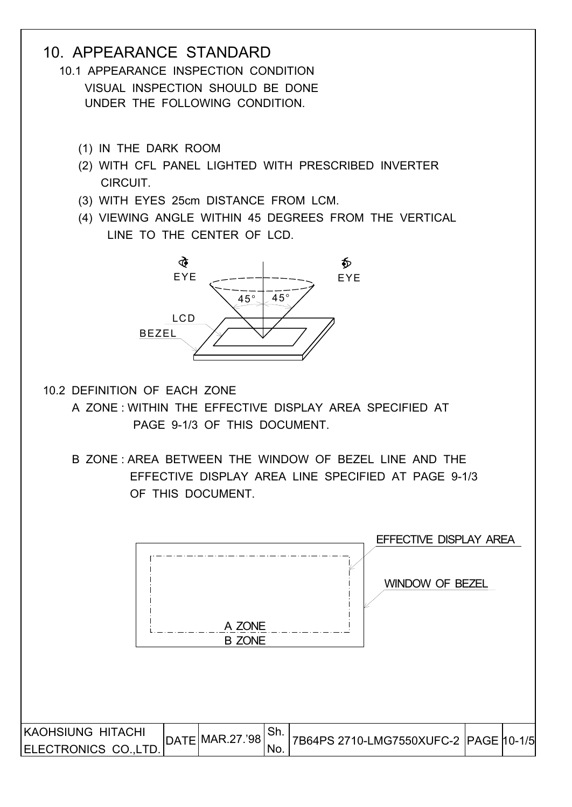# 10. APPEARANCE STANDARD

 10.1 APPEARANCE INSPECTION CONDITION VISUAL INSPECTION SHOULD BE DONE UNDER THE FOLLOWING CONDITION.

- (1) IN THE DARK ROOM
- (2) WITH CFL PANEL LIGHTED WITH PRESCRIBED INVERTER **CIRCUIT**
- (3) WITH EYES 25cm DISTANCE FROM LCM.
- (4) VIEWING ANGLE WITHIN 45 DEGREES FROM THE VERTICAL LINE TO THE CENTER OF LCD.



- 10.2 DEFINITION OF EACH ZONE
	- A ZONE : WITHIN THE EFFECTIVE DISPLAY AREA SPECIFIED AT PAGE 9-1/3 OF THIS DOCUMENT.
	- B ZONE : AREA BETWEEN THE WINDOW OF BEZEL LINE AND THE EFFECTIVE DISPLAY AREA LINE SPECIFIED AT PAGE 9-1/3 OF THIS DOCUMENT.

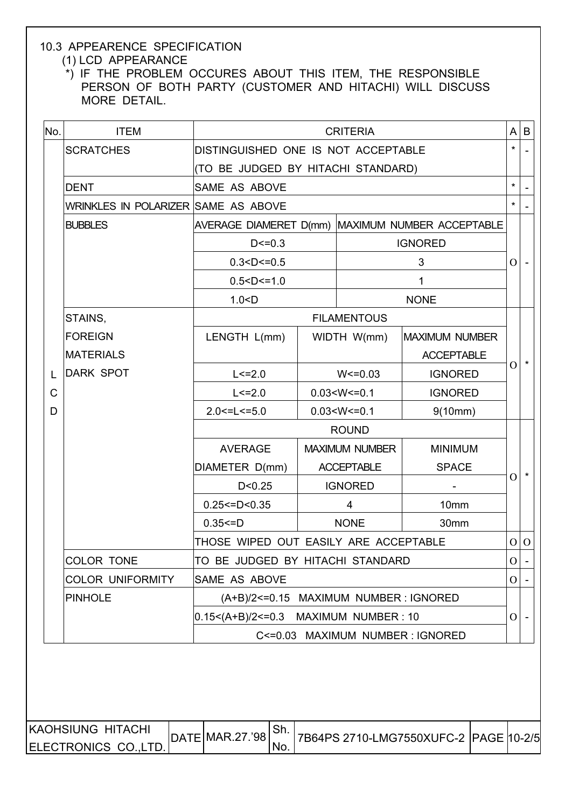# 10.3 APPEARENCE SPECIFICATION

# (1) LCD APPEARANCE

 \*) IF THE PROBLEM OCCURES ABOUT THIS ITEM, THE RESPONSIBLE PERSON OF BOTH PARTY (CUSTOMER AND HITACHI) WILL DISCUSS MORE DETAIL.

| No.          | <b>ITEM</b>                         |                                         | <b>CRITERIA</b>       |                                                  | $\mathsf{A}$   | B                        |
|--------------|-------------------------------------|-----------------------------------------|-----------------------|--------------------------------------------------|----------------|--------------------------|
|              | <b>SCRATCHES</b>                    | DISTINGUISHED ONE IS NOT ACCEPTABLE     |                       |                                                  | $\star$        |                          |
|              |                                     | (TO BE JUDGED BY HITACHI STANDARD)      |                       |                                                  |                |                          |
|              | DENT                                | SAME AS ABOVE                           |                       |                                                  | $\star$        |                          |
|              | WRINKLES IN POLARIZER SAME AS ABOVE |                                         |                       |                                                  | $\star$        |                          |
|              | <b>BUBBLES</b>                      |                                         |                       | AVERAGE DIAMERET D(mm) MAXIMUM NUMBER ACCEPTABLE |                |                          |
|              |                                     | $D < = 0.3$                             |                       | <b>IGNORED</b>                                   |                |                          |
|              |                                     | 0.3 < D < 0.5                           |                       | 3                                                | $\overline{O}$ |                          |
|              |                                     | 0.5 < D < 1.0                           | 1                     |                                                  |                |                          |
|              |                                     | 1.0 < D                                 |                       | <b>NONE</b>                                      |                |                          |
|              | STAINS,                             |                                         | <b>FILAMENTOUS</b>    |                                                  |                |                          |
|              | <b>FOREIGN</b>                      | LENGTH L(mm)                            | WIDTH W(mm)           | <b>MAXIMUM NUMBER</b>                            |                |                          |
|              | <b>MATERIALS</b>                    |                                         |                       | <b>ACCEPTABLE</b>                                | $\Omega$       | $\star$                  |
| L            | <b>DARK SPOT</b>                    | $L < = 2.0$                             | $W < = 0.03$          | <b>IGNORED</b>                                   |                |                          |
| $\mathsf{C}$ |                                     | $L < = 2.0$                             | $0.03 < W < = 0.1$    | <b>IGNORED</b>                                   |                |                          |
| D            |                                     | $2.0 < = L < = 5.0$                     | $0.03 < W < = 0.1$    | 9(10mm)                                          |                |                          |
|              |                                     |                                         | <b>ROUND</b>          |                                                  |                |                          |
|              |                                     | <b>AVERAGE</b>                          | <b>MAXIMUM NUMBER</b> | <b>MINIMUM</b>                                   |                |                          |
|              |                                     | DIAMETER D(mm)                          | <b>ACCEPTABLE</b>     | <b>SPACE</b>                                     | O              |                          |
|              |                                     | D < 0.25                                | <b>IGNORED</b>        |                                                  |                |                          |
|              |                                     | $0.25 < = D < 0.35$                     | 4                     | 10mm                                             |                |                          |
|              |                                     | $0.35 = D$                              | <b>NONE</b>           | 30mm                                             |                |                          |
|              |                                     | THOSE WIPED OUT EASILY ARE ACCEPTABLE   |                       |                                                  |                | $O$ O                    |
|              | COLOR TONE                          | TO BE JUDGED BY HITACHI STANDARD        |                       |                                                  | $\overline{O}$ | $\overline{\phantom{a}}$ |
|              | <b>COLOR UNIFORMITY</b>             | <b>SAME AS ABOVE</b>                    |                       |                                                  | O              |                          |
|              | <b>PINHOLE</b>                      | (A+B)/2<=0.15 MAXIMUM NUMBER : IGNORED  |                       |                                                  |                |                          |
|              |                                     | $0.15<$ (A+B)/2<=0.3 MAXIMUM NUMBER: 10 |                       |                                                  | O              |                          |
|              |                                     |                                         |                       | C<= 0.03 MAXIMUM NUMBER: IGNORED                 |                |                          |
|              |                                     |                                         |                       |                                                  |                |                          |
|              |                                     |                                         |                       |                                                  |                |                          |
|              |                                     |                                         |                       |                                                  |                |                          |

| KAOHSIUNG HITACHI    | DATE MAR.27.'98 | <sup>⊥</sup> Sh. |  |  |
|----------------------|-----------------|------------------|--|--|
| ELECTRONICS CO.,LTD. |                 | 'No.             |  |  |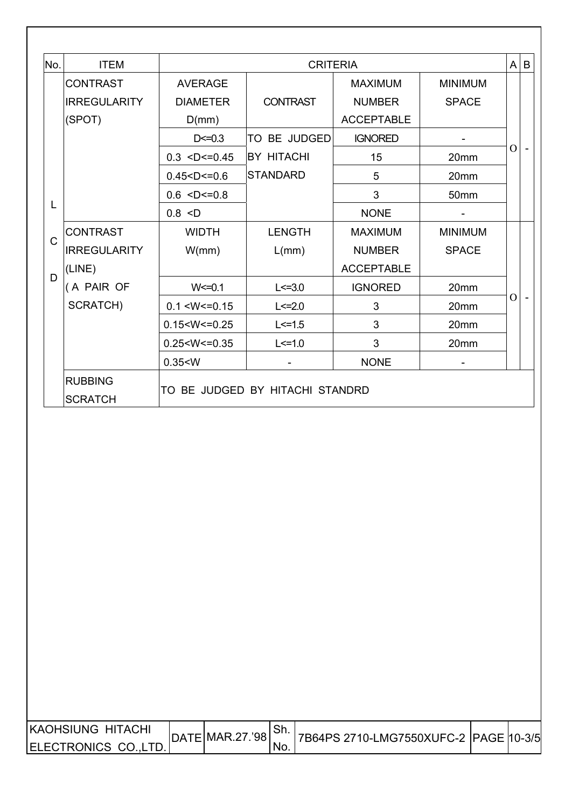| (SPOT)<br>L<br>$\mathsf C$ | <b>CONTRAST</b><br><b>IRREGULARITY</b> | <b>AVERAGE</b><br><b>DIAMETER</b><br>D(mm)<br>$D < = 0.3$<br>$0.3$ <d <="0.45&lt;br">0.45 &lt; D &lt; 0.6<br/><math>0.6</math> <d <="0.8&lt;/th"><th><b>CONTRAST</b><br/>TO BE JUDGED<br/><b>BY HITACHI</b><br/><b>STANDARD</b></th><th><b>MAXIMUM</b><br/><b>NUMBER</b><br/><b>ACCEPTABLE</b><br/><b>IGNORED</b><br/>15</th><th><b>MINIMUM</b><br/><b>SPACE</b><br/>20mm</th><th><math>\overline{O}</math></th><th></th></d></d> | <b>CONTRAST</b><br>TO BE JUDGED<br><b>BY HITACHI</b><br><b>STANDARD</b> | <b>MAXIMUM</b><br><b>NUMBER</b><br><b>ACCEPTABLE</b><br><b>IGNORED</b><br>15 | <b>MINIMUM</b><br><b>SPACE</b><br>20mm | $\overline{O}$ |  |
|----------------------------|----------------------------------------|-----------------------------------------------------------------------------------------------------------------------------------------------------------------------------------------------------------------------------------------------------------------------------------------------------------------------------------------------------------------------------------------------------------------------------------|-------------------------------------------------------------------------|------------------------------------------------------------------------------|----------------------------------------|----------------|--|
|                            |                                        |                                                                                                                                                                                                                                                                                                                                                                                                                                   |                                                                         |                                                                              |                                        |                |  |
|                            |                                        |                                                                                                                                                                                                                                                                                                                                                                                                                                   |                                                                         |                                                                              |                                        |                |  |
|                            |                                        |                                                                                                                                                                                                                                                                                                                                                                                                                                   |                                                                         |                                                                              |                                        |                |  |
|                            |                                        |                                                                                                                                                                                                                                                                                                                                                                                                                                   |                                                                         |                                                                              |                                        |                |  |
|                            |                                        |                                                                                                                                                                                                                                                                                                                                                                                                                                   |                                                                         |                                                                              |                                        |                |  |
|                            |                                        |                                                                                                                                                                                                                                                                                                                                                                                                                                   |                                                                         | 5                                                                            | 20mm                                   |                |  |
|                            |                                        |                                                                                                                                                                                                                                                                                                                                                                                                                                   |                                                                         | 3                                                                            | 50mm                                   |                |  |
|                            | 0.8 < D                                |                                                                                                                                                                                                                                                                                                                                                                                                                                   |                                                                         | <b>NONE</b>                                                                  |                                        |                |  |
|                            | <b>CONTRAST</b>                        | <b>WIDTH</b>                                                                                                                                                                                                                                                                                                                                                                                                                      | <b>LENGTH</b>                                                           | <b>MAXIMUM</b>                                                               | <b>MINIMUM</b>                         |                |  |
|                            | <b>IRREGULARITY</b>                    | W/mm)                                                                                                                                                                                                                                                                                                                                                                                                                             | L(mm)                                                                   | <b>NUMBER</b>                                                                | <b>SPACE</b>                           |                |  |
| (LINE)                     |                                        |                                                                                                                                                                                                                                                                                                                                                                                                                                   |                                                                         | <b>ACCEPTABLE</b>                                                            |                                        |                |  |
| D                          | (A PAIR OF<br>$W = 0.1$                |                                                                                                                                                                                                                                                                                                                                                                                                                                   | $L < = 3.0$                                                             | <b>IGNORED</b>                                                               | 20mm                                   |                |  |
|                            | SCRATCH)                               | 0.1 < W < 0.15                                                                                                                                                                                                                                                                                                                                                                                                                    | $L < = 2.0$                                                             | 3                                                                            | 20mm                                   | $\overline{O}$ |  |
|                            |                                        | 0.15 < W < 0.25                                                                                                                                                                                                                                                                                                                                                                                                                   | $L < = 1.5$                                                             | 3                                                                            | 20mm                                   |                |  |
|                            |                                        | 0.25 < W < 0.35                                                                                                                                                                                                                                                                                                                                                                                                                   | $L < = 1.0$                                                             | 3                                                                            | 20mm                                   |                |  |
|                            |                                        | 0.35 < W                                                                                                                                                                                                                                                                                                                                                                                                                          |                                                                         | <b>NONE</b>                                                                  |                                        |                |  |
| <b>RUBBING</b>             |                                        |                                                                                                                                                                                                                                                                                                                                                                                                                                   |                                                                         |                                                                              |                                        |                |  |
| <b>SCRATCH</b>             |                                        |                                                                                                                                                                                                                                                                                                                                                                                                                                   | TO BE JUDGED BY HITACHI STANDRD                                         |                                                                              |                                        |                |  |

| KAOHSIUNG HITACHI    | DATE MAR.27.'98 |      |                                       |  |
|----------------------|-----------------|------|---------------------------------------|--|
| ELECTRONICS CO.,LTD. |                 | 'No. | 7B64PS 2710-LMG7550XUFC-2 PAGE 10-3/5 |  |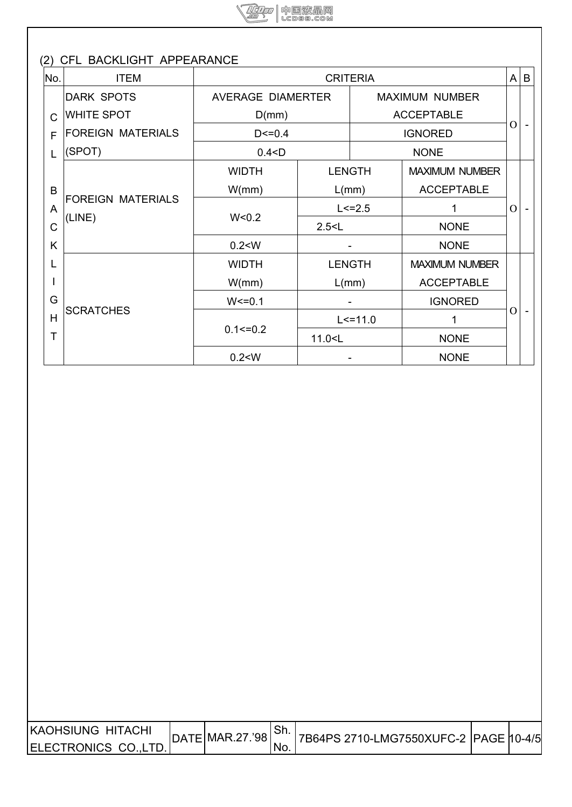

| No.          | <b>ITEM</b>                        |                   | <b>CRITERIA</b> |                   |                       | A              | B |
|--------------|------------------------------------|-------------------|-----------------|-------------------|-----------------------|----------------|---|
|              | <b>DARK SPOTS</b>                  | AVERAGE DIAMERTER |                 |                   | <b>MAXIMUM NUMBER</b> |                |   |
| $\mathsf{C}$ | <b>WHITE SPOT</b>                  | D(mm)             |                 | <b>ACCEPTABLE</b> |                       | O              |   |
| F            | <b>FOREIGN MATERIALS</b>           | $D < = 0.4$       |                 | <b>IGNORED</b>    |                       |                |   |
| L            | (SPOT)                             | 0.4 < D           |                 |                   | <b>NONE</b>           |                |   |
|              |                                    | <b>WIDTH</b>      | <b>LENGTH</b>   |                   | <b>MAXIMUM NUMBER</b> |                |   |
| B            | <b>FOREIGN MATERIALS</b><br>(LINE) | W/mm)             | L/mm)           |                   | <b>ACCEPTABLE</b>     |                |   |
| A            |                                    |                   |                 | $L < = 2.5$       |                       | $\overline{O}$ |   |
| $\mathsf C$  |                                    | W < 0.2           | 2.5 < L         |                   | <b>NONE</b>           |                |   |
| K            |                                    | 0.2 < W           |                 |                   | <b>NONE</b>           |                |   |
| L            |                                    | <b>WIDTH</b>      | <b>LENGTH</b>   |                   | <b>MAXIMUM NUMBER</b> |                |   |
|              |                                    | W/mm)             | L(mm)           |                   | <b>ACCEPTABLE</b>     |                |   |
| G            |                                    | $W < = 0.1$       |                 |                   | <b>IGNORED</b>        |                |   |
| H            | <b>SCRATCHES</b>                   |                   |                 | $L < = 11.0$      | 1                     | $\Omega$       |   |
| Т            |                                    | $0.1 \le 0.2$     | 11.0 < L        |                   | <b>NONE</b>           |                |   |
|              |                                    | 0.2 < W           |                 |                   | <b>NONE</b>           |                |   |

| IKAOHSIUNG HITACHI   | $ $ DATE $ $ MAR.27.'98 $ $ |     |  |  |
|----------------------|-----------------------------|-----|--|--|
| ELECTRONICS CO.,LTD. |                             | NO. |  |  |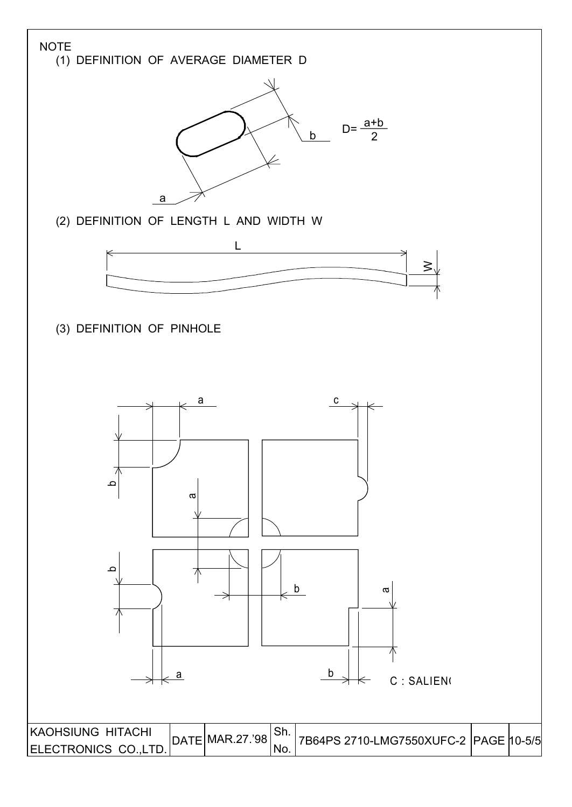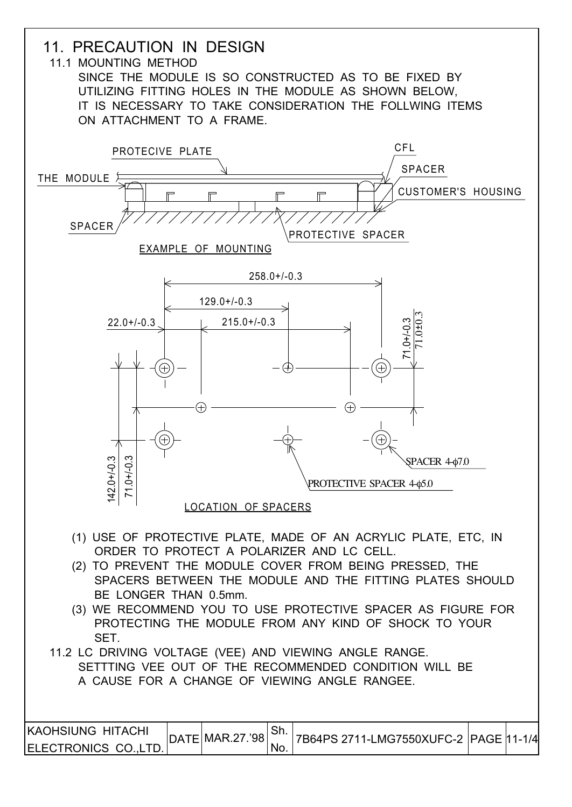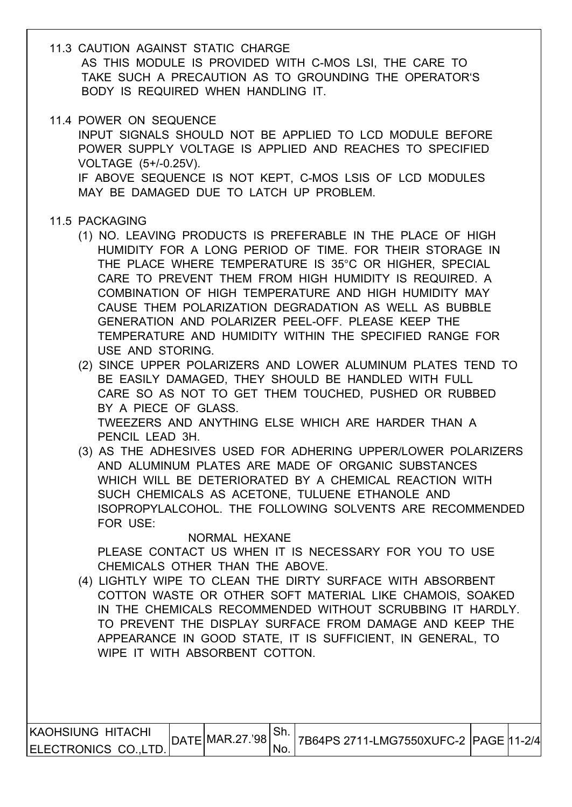- 11.3 CAUTION AGAINST STATIC CHARGE AS THIS MODULE IS PROVIDED WITH C-MOS LSI, THE CARE TO TAKE SUCH A PRECAUTION AS TO GROUNDING THE OPERATOR'S BODY IS REQUIRED WHEN HANDLING IT.
- 11.4 POWER ON SEQUENCE

 INPUT SIGNALS SHOULD NOT BE APPLIED TO LCD MODULE BEFORE POWER SUPPLY VOLTAGE IS APPLIED AND REACHES TO SPECIFIED VOLTAGE (5+/-0.25V). IF ABOVE SEQUENCE IS NOT KEPT, C-MOS LSIS OF LCD MODULES MAY BE DAMAGED DUE TO LATCH UP PROBLEM.

#### 11.5 PACKAGING

- (1) NO. LEAVING PRODUCTS IS PREFERABLE IN THE PLACE OF HIGH HUMIDITY FOR A LONG PERIOD OF TIME. FOR THEIR STORAGE IN THE PLACE WHERE TEMPERATURE IS 35°C OR HIGHER, SPECIAL CARE TO PREVENT THEM FROM HIGH HUMIDITY IS REQUIRED. A COMBINATION OF HIGH TEMPERATURE AND HIGH HUMIDITY MAY CAUSE THEM POLARIZATION DEGRADATION AS WELL AS BUBBLE GENERATION AND POLARIZER PEEL-OFF. PLEASE KEEP THE TEMPERATURE AND HUMIDITY WITHIN THE SPECIFIED RANGE FOR USE AND STORING.
- (2) SINCE UPPER POLARIZERS AND LOWER ALUMINUM PLATES TEND TO BE EASILY DAMAGED, THEY SHOULD BE HANDLED WITH FULL CARE SO AS NOT TO GET THEM TOUCHED, PUSHED OR RUBBED BY A PIECE OF GLASS. TWEEZERS AND ANYTHING ELSE WHICH ARE HARDER THAN A PENCIL LEAD 3H.
- (3) AS THE ADHESIVES USED FOR ADHERING UPPER/LOWER POLARIZERS AND ALUMINUM PLATES ARE MADE OF ORGANIC SUBSTANCES WHICH WILL BE DETERIORATED BY A CHEMICAL REACTION WITH SUCH CHEMICALS AS ACETONE, TULUENE ETHANOLE AND ISOPROPYLALCOHOL. THE FOLLOWING SOLVENTS ARE RECOMMENDED FOR USE:

NORMAL HEXANE

PLEASE CONTACT US WHEN IT IS NECESSARY FOR YOU TO USE CHEMICALS OTHER THAN THE ABOVE.

 (4) LIGHTLY WIPE TO CLEAN THE DIRTY SURFACE WITH ABSORBENT COTTON WASTE OR OTHER SOFT MATERIAL LIKE CHAMOIS, SOAKED IN THE CHEMICALS RECOMMENDED WITHOUT SCRUBBING IT HARDLY. TO PREVENT THE DISPLAY SURFACE FROM DAMAGE AND KEEP THE APPEARANCE IN GOOD STATE, IT IS SUFFICIENT, IN GENERAL, TO WIPE IT WITH ABSORBENT COTTON.

| <b>KAOHSIUNG HITACHI</b> | $ $ DATE MAR.27.'98 |           |                                       |  |
|--------------------------|---------------------|-----------|---------------------------------------|--|
| ELECTRONICS CO., LTD.    |                     | <b>No</b> | 7B64PS 2711-LMG7550XUFC-2 PAGE 11-2/4 |  |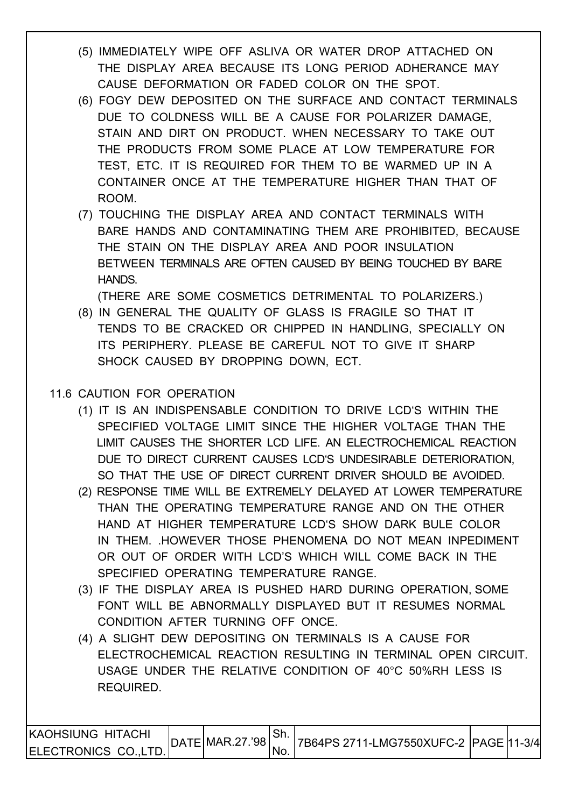- (5) IMMEDIATELY WIPE OFF ASLIVA OR WATER DROP ATTACHED ON THE DISPLAY AREA BECAUSE ITS LONG PERIOD ADHERANCE MAY CAUSE DEFORMATION OR FADED COLOR ON THE SPOT.
- (6) FOGY DEW DEPOSITED ON THE SURFACE AND CONTACT TERMINALS DUE TO COLDNESS WILL BE A CAUSE FOR POLARIZER DAMAGE, STAIN AND DIRT ON PRODUCT. WHEN NECESSARY TO TAKE OUT THE PRODUCTS FROM SOME PLACE AT LOW TEMPERATURE FOR TEST, ETC. IT IS REQUIRED FOR THEM TO BE WARMED UP IN A CONTAINER ONCE AT THE TEMPERATURE HIGHER THAN THAT OF ROOM.
- (7) TOUCHING THE DISPLAY AREA AND CONTACT TERMINALS WITH BARE HANDS AND CONTAMINATING THEM ARE PROHIBITED, BECAUSE THE STAIN ON THE DISPLAY AREA AND POOR INSULATION BETWEEN TERMINALS ARE OFTEN CAUSED BY BEING TOUCHED BY BARE HANDS.

(THERE ARE SOME COSMETICS DETRIMENTAL TO POLARIZERS.)

 (8) IN GENERAL THE QUALITY OF GLASS IS FRAGILE SO THAT IT TENDS TO BE CRACKED OR CHIPPED IN HANDLING, SPECIALLY ON ITS PERIPHERY. PLEASE BE CAREFUL NOT TO GIVE IT SHARP SHOCK CAUSED BY DROPPING DOWN, ECT.

# 11.6 CAUTION FOR OPERATION

- (1) IT IS AN INDISPENSABLE CONDITION TO DRIVE LCD'S WITHIN THE SPECIFIED VOLTAGE LIMIT SINCE THE HIGHER VOLTAGE THAN THE LIMIT CAUSES THE SHORTER LCD LIFE. AN ELECTROCHEMICAL REACTION DUE TO DIRECT CURRENT CAUSES LCD'S UNDESIRABLE DETERIORATION, SO THAT THE USE OF DIRECT CURRENT DRIVER SHOULD BE AVOIDED.
- (2) RESPONSE TIME WILL BE EXTREMELY DELAYED AT LOWER TEMPERATURE THAN THE OPERATING TEMPERATURE RANGE AND ON THE OTHER HAND AT HIGHER TEMPERATURE LCD'S SHOW DARK BULE COLOR IN THEM. .HOWEVER THOSE PHENOMENA DO NOT MEAN INPEDIMENT OR OUT OF ORDER WITH LCD'S WHICH WILL COME BACK IN THE SPECIFIED OPERATING TEMPERATURE RANGE.
- (3) IF THE DISPLAY AREA IS PUSHED HARD DURING OPERATION, SOME FONT WILL BE ABNORMALLY DISPLAYED BUT IT RESUMES NORMAL CONDITION AFTER TURNING OFF ONCE.
- (4) A SLIGHT DEW DEPOSITING ON TERMINALS IS A CAUSE FOR ELECTROCHEMICAL REACTION RESULTING IN TERMINAL OPEN CIRCUIT. USAGE UNDER THE RELATIVE CONDITION OF 40°C 50%RH LESS IS REQUIRED.

| IKAOHSIUNG HITACHI   | $\textsf{DATA}$ MAR.27.'98 | <sup>⊥</sup> Sh. |  |  |
|----------------------|----------------------------|------------------|--|--|
| ELECTRONICS CO.,LTD. |                            | 'No.             |  |  |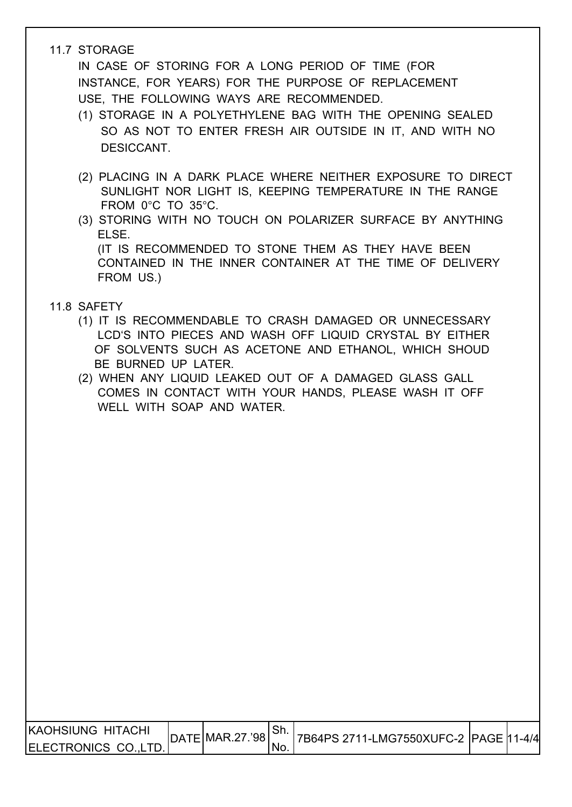# 11.7 STORAGE

 IN CASE OF STORING FOR A LONG PERIOD OF TIME (FOR INSTANCE, FOR YEARS) FOR THE PURPOSE OF REPLACEMENT USE, THE FOLLOWING WAYS ARE RECOMMENDED.

- (1) STORAGE IN A POLYETHYLENE BAG WITH THE OPENING SEALED SO AS NOT TO ENTER FRESH AIR OUTSIDE IN IT, AND WITH NO DESICCANT.
- (2) PLACING IN A DARK PLACE WHERE NEITHER EXPOSURE TO DIRECT SUNLIGHT NOR LIGHT IS, KEEPING TEMPERATURE IN THE RANGE FROM 0°C TO 35°C.
- (3) STORING WITH NO TOUCH ON POLARIZER SURFACE BY ANYTHING ELSE. (IT IS RECOMMENDED TO STONE THEM AS THEY HAVE BEEN CONTAINED IN THE INNER CONTAINER AT THE TIME OF DELIVERY FROM US.)

# 11.8 SAFETY

- (1) IT IS RECOMMENDABLE TO CRASH DAMAGED OR UNNECESSARY LCD'S INTO PIECES AND WASH OFF LIQUID CRYSTAL BY EITHER OF SOLVENTS SUCH AS ACETONE AND ETHANOL, WHICH SHOUD BE BURNED UP LATER.
- (2) WHEN ANY LIQUID LEAKED OUT OF A DAMAGED GLASS GALL COMES IN CONTACT WITH YOUR HANDS, PLEASE WASH IT OFF WELL WITH SOAP AND WATER.

| <b>KAOHSIUNG HITACHI</b> |                   | . ات |                                       |  |
|--------------------------|-------------------|------|---------------------------------------|--|
| ELECTRONICS CO., LTD.    | DATE MAR.27.'98 ` | 'No. | 7B64PS 2711-LMG7550XUFC-2 PAGE 11-4/4 |  |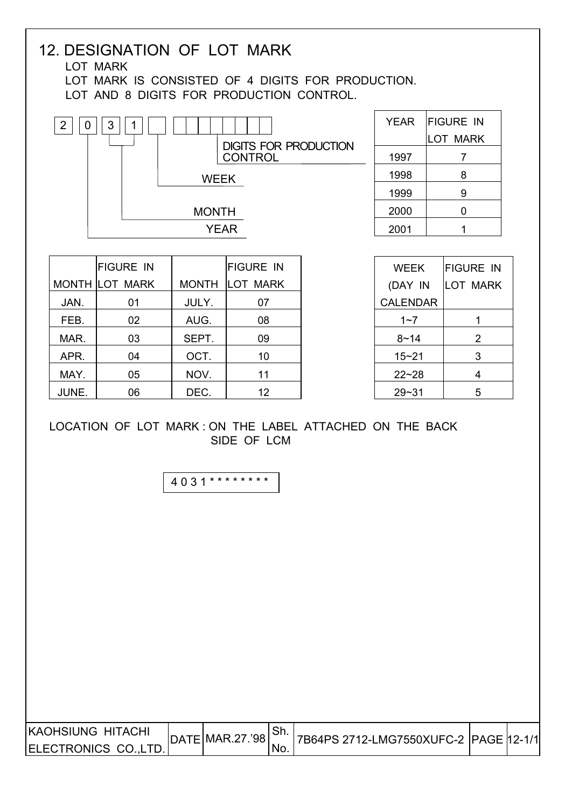| JAN.<br>FEB.<br>MAR. | <b>FIGURE IN</b><br><b>MONTH LOT MARK</b><br>01<br>02 | <b>WEEK</b><br><b>MONTH</b><br><b>YEAR</b> | <b>FIGURE IN</b><br>MONTH LOT MARK | 1998<br>1999<br>2000<br>2001 | 8<br>9<br>$\mathbf 0$<br>1 |
|----------------------|-------------------------------------------------------|--------------------------------------------|------------------------------------|------------------------------|----------------------------|
|                      |                                                       |                                            |                                    |                              |                            |
|                      |                                                       |                                            |                                    |                              |                            |
|                      |                                                       |                                            |                                    |                              |                            |
|                      |                                                       |                                            |                                    |                              |                            |
|                      |                                                       |                                            |                                    | <b>WEEK</b>                  | <b>FIGURE IN</b>           |
|                      |                                                       |                                            |                                    | (DAY IN                      | <b>LOT MARK</b>            |
|                      |                                                       | JULY.                                      | 07                                 | <b>CALENDAR</b>              |                            |
|                      |                                                       | AUG.                                       | 08                                 | $1 - 7$                      | $\mathbf{1}$               |
|                      | 03                                                    | SEPT.                                      | 09                                 | $8 - 14$                     | $\overline{2}$             |
| APR.                 | 04                                                    | OCT.                                       | 10                                 | $15 - 21$                    | 3                          |
| MAY.                 | 05                                                    | NOV.                                       | 11                                 | $22 - 28$                    | 4                          |
| JUNE.                | 06                                                    | DEC.                                       | 12                                 | $29 - 31$                    | 5                          |
|                      |                                                       | 4031 *********                             |                                    |                              |                            |
|                      |                                                       |                                            |                                    |                              |                            |

г